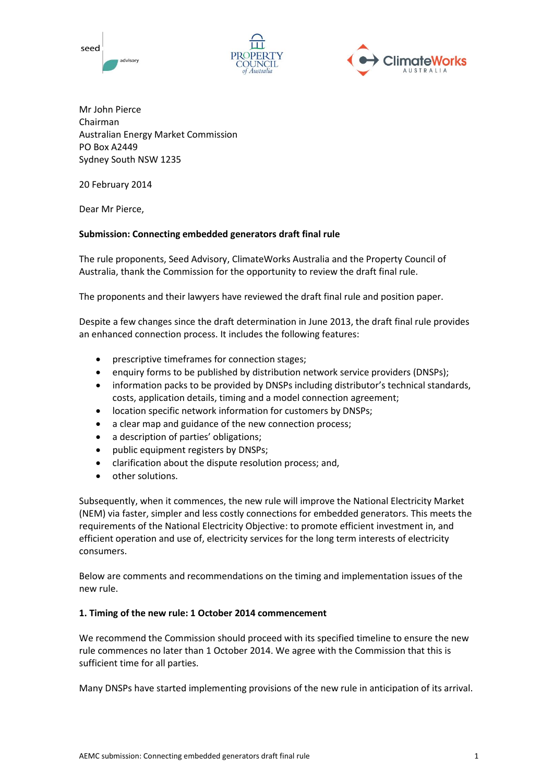





Mr John Pierce Chairman Australian Energy Market Commission PO Box A2449 Sydney South NSW 1235

20 February 2014

Dear Mr Pierce,

## **Submission: Connecting embedded generators draft final rule**

The rule proponents, Seed Advisory, ClimateWorks Australia and the Property Council of Australia, thank the Commission for the opportunity to review the draft final rule.

The proponents and their lawyers have reviewed the draft final rule and position paper.

Despite a few changes since the draft determination in June 2013, the draft final rule provides an enhanced connection process. It includes the following features:

- prescriptive timeframes for connection stages;
- enquiry forms to be published by distribution network service providers (DNSPs);
- information packs to be provided by DNSPs including distributor's technical standards, costs, application details, timing and a model connection agreement;
- location specific network information for customers by DNSPs;
- a clear map and guidance of the new connection process;
- a description of parties' obligations;
- public equipment registers by DNSPs;
- clarification about the dispute resolution process; and,
- other solutions.

Subsequently, when it commences, the new rule will improve the National Electricity Market (NEM) via faster, simpler and less costly connections for embedded generators. This meets the requirements of the National Electricity Objective: to promote efficient investment in, and efficient operation and use of, electricity services for the long term interests of electricity consumers.

Below are comments and recommendations on the timing and implementation issues of the new rule.

### **1. Timing of the new rule: 1 October 2014 commencement**

We recommend the Commission should proceed with its specified timeline to ensure the new rule commences no later than 1 October 2014. We agree with the Commission that this is sufficient time for all parties.

Many DNSPs have started implementing provisions of the new rule in anticipation of its arrival.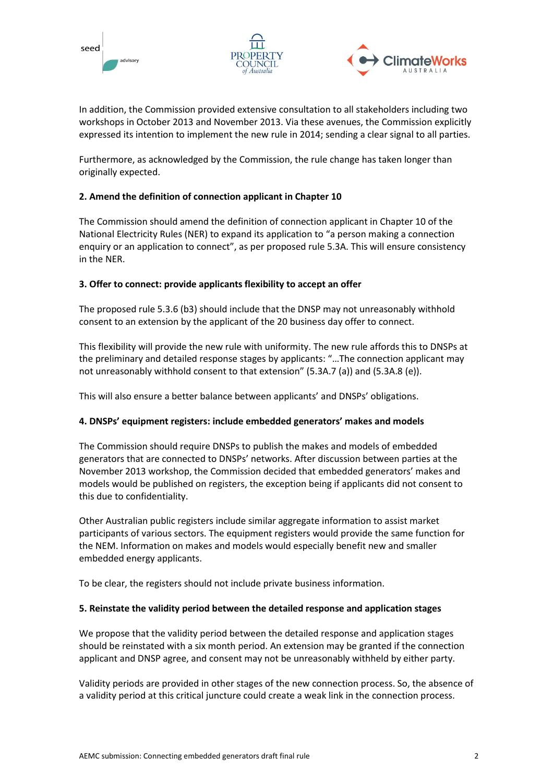





In addition, the Commission provided extensive consultation to all stakeholders including two workshops in October 2013 and November 2013. Via these avenues, the Commission explicitly expressed its intention to implement the new rule in 2014; sending a clear signal to all parties.

Furthermore, as acknowledged by the Commission, the rule change has taken longer than originally expected.

# **2. Amend the definition of connection applicant in Chapter 10**

The Commission should amend the definition of connection applicant in Chapter 10 of the National Electricity Rules (NER) to expand its application to "a person making a connection enquiry or an application to connect", as per proposed rule 5.3A. This will ensure consistency in the NER.

## **3. Offer to connect: provide applicants flexibility to accept an offer**

The proposed rule 5.3.6 (b3) should include that the DNSP may not unreasonably withhold consent to an extension by the applicant of the 20 business day offer to connect.

This flexibility will provide the new rule with uniformity. The new rule affords this to DNSPs at the preliminary and detailed response stages by applicants: "…The connection applicant may not unreasonably withhold consent to that extension" (5.3A.7 (a)) and (5.3A.8 (e)).

This will also ensure a better balance between applicants' and DNSPs' obligations.

# **4. DNSPs' equipment registers: include embedded generators' makes and models**

The Commission should require DNSPs to publish the makes and models of embedded generators that are connected to DNSPs' networks. After discussion between parties at the November 2013 workshop, the Commission decided that embedded generators' makes and models would be published on registers, the exception being if applicants did not consent to this due to confidentiality.

Other Australian public registers include similar aggregate information to assist market participants of various sectors. The equipment registers would provide the same function for the NEM. Information on makes and models would especially benefit new and smaller embedded energy applicants.

To be clear, the registers should not include private business information.

### **5. Reinstate the validity period between the detailed response and application stages**

We propose that the validity period between the detailed response and application stages should be reinstated with a six month period. An extension may be granted if the connection applicant and DNSP agree, and consent may not be unreasonably withheld by either party.

Validity periods are provided in other stages of the new connection process. So, the absence of a validity period at this critical juncture could create a weak link in the connection process.